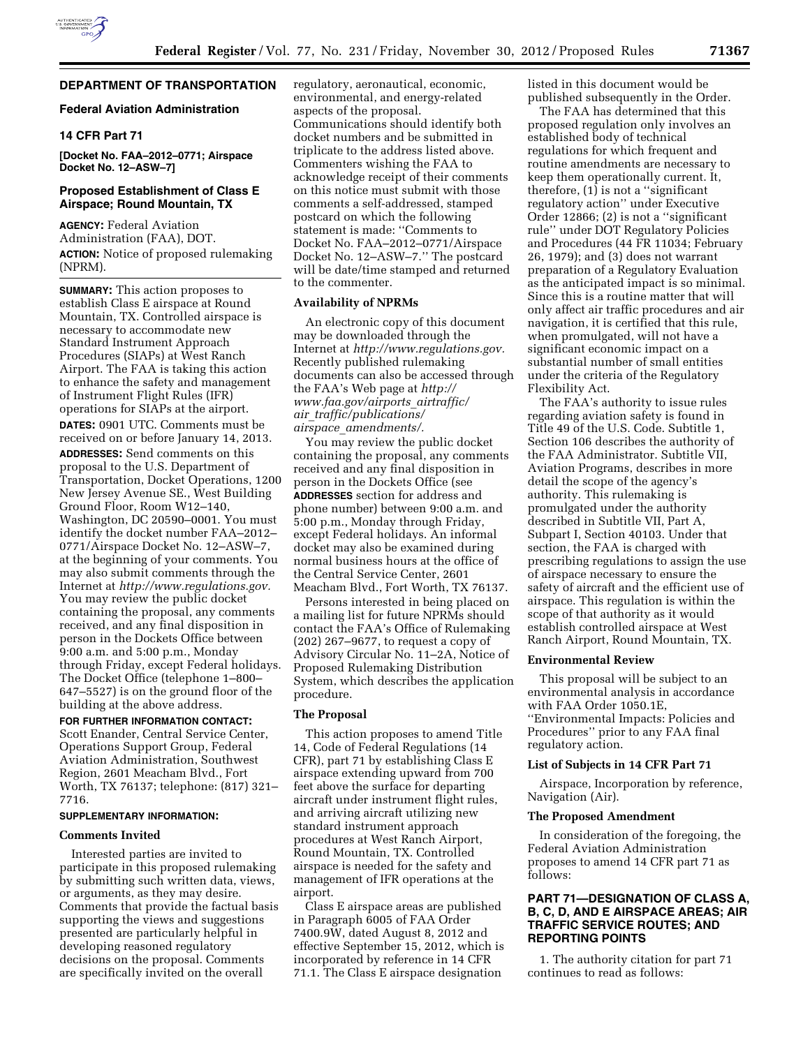# **DEPARTMENT OF TRANSPORTATION**

### **Federal Aviation Administration**

# **14 CFR Part 71**

**[Docket No. FAA–2012–0771; Airspace Docket No. 12–ASW–7]** 

# **Proposed Establishment of Class E Airspace; Round Mountain, TX**

**AGENCY:** Federal Aviation Administration (FAA), DOT. **ACTION:** Notice of proposed rulemaking (NPRM).

**SUMMARY:** This action proposes to establish Class E airspace at Round Mountain, TX. Controlled airspace is necessary to accommodate new Standard Instrument Approach Procedures (SIAPs) at West Ranch Airport. The FAA is taking this action to enhance the safety and management of Instrument Flight Rules (IFR) operations for SIAPs at the airport. **DATES:** 0901 UTC. Comments must be received on or before January 14, 2013. **ADDRESSES:** Send comments on this proposal to the U.S. Department of Transportation, Docket Operations, 1200 New Jersey Avenue SE., West Building Ground Floor, Room W12–140, Washington, DC 20590–0001. You must identify the docket number FAA–2012– 0771/Airspace Docket No. 12–ASW–7, at the beginning of your comments. You may also submit comments through the Internet at *[http://www.regulations.gov.](http://www.regulations.gov)*  You may review the public docket containing the proposal, any comments received, and any final disposition in person in the Dockets Office between 9:00 a.m. and 5:00 p.m., Monday through Friday, except Federal holidays. The Docket Office (telephone 1–800– 647–5527) is on the ground floor of the building at the above address.

#### **FOR FURTHER INFORMATION CONTACT:**

Scott Enander, Central Service Center, Operations Support Group, Federal Aviation Administration, Southwest Region, 2601 Meacham Blvd., Fort Worth, TX 76137; telephone: (817) 321– 7716.

# **SUPPLEMENTARY INFORMATION:**

### **Comments Invited**

Interested parties are invited to participate in this proposed rulemaking by submitting such written data, views, or arguments, as they may desire. Comments that provide the factual basis supporting the views and suggestions presented are particularly helpful in developing reasoned regulatory decisions on the proposal. Comments are specifically invited on the overall

regulatory, aeronautical, economic, environmental, and energy-related aspects of the proposal. Communications should identify both docket numbers and be submitted in triplicate to the address listed above. Commenters wishing the FAA to acknowledge receipt of their comments on this notice must submit with those comments a self-addressed, stamped postcard on which the following statement is made: ''Comments to Docket No. FAA–2012–0771/Airspace Docket No. 12–ASW–7.'' The postcard will be date/time stamped and returned to the commenter.

### **Availability of NPRMs**

An electronic copy of this document may be downloaded through the Internet at *[http://www.regulations.gov.](http://www.regulations.gov)*  Recently published rulemaking documents can also be accessed through the FAA's Web page at *[http://](http://www.faa.gov/airports_airtraffic/air_traffic/publications/airspace_amendments/)  [www.faa.gov/airports](http://www.faa.gov/airports_airtraffic/air_traffic/publications/airspace_amendments/)*\_*airtraffic/ air*\_*[traffic/publications/](http://www.faa.gov/airports_airtraffic/air_traffic/publications/airspace_amendments/) airspace*\_*[amendments/.](http://www.faa.gov/airports_airtraffic/air_traffic/publications/airspace_amendments/)* 

You may review the public docket containing the proposal, any comments received and any final disposition in person in the Dockets Office (see **ADDRESSES** section for address and phone number) between 9:00 a.m. and 5:00 p.m., Monday through Friday, except Federal holidays. An informal docket may also be examined during normal business hours at the office of the Central Service Center, 2601 Meacham Blvd., Fort Worth, TX 76137.

Persons interested in being placed on a mailing list for future NPRMs should contact the FAA's Office of Rulemaking (202) 267–9677, to request a copy of Advisory Circular No. 11–2A, Notice of Proposed Rulemaking Distribution System, which describes the application procedure.

#### **The Proposal**

This action proposes to amend Title 14, Code of Federal Regulations (14 CFR), part 71 by establishing Class E airspace extending upward from 700 feet above the surface for departing aircraft under instrument flight rules, and arriving aircraft utilizing new standard instrument approach procedures at West Ranch Airport, Round Mountain, TX. Controlled airspace is needed for the safety and management of IFR operations at the airport.

Class E airspace areas are published in Paragraph 6005 of FAA Order 7400.9W, dated August 8, 2012 and effective September 15, 2012, which is incorporated by reference in 14 CFR 71.1. The Class E airspace designation

listed in this document would be published subsequently in the Order.

The FAA has determined that this proposed regulation only involves an established body of technical regulations for which frequent and routine amendments are necessary to keep them operationally current. It, therefore, (1) is not a ''significant regulatory action'' under Executive Order 12866; (2) is not a ''significant rule'' under DOT Regulatory Policies and Procedures (44 FR 11034; February 26, 1979); and (3) does not warrant preparation of a Regulatory Evaluation as the anticipated impact is so minimal. Since this is a routine matter that will only affect air traffic procedures and air navigation, it is certified that this rule, when promulgated, will not have a significant economic impact on a substantial number of small entities under the criteria of the Regulatory Flexibility Act.

The FAA's authority to issue rules regarding aviation safety is found in Title 49 of the U.S. Code. Subtitle 1, Section 106 describes the authority of the FAA Administrator. Subtitle VII, Aviation Programs, describes in more detail the scope of the agency's authority. This rulemaking is promulgated under the authority described in Subtitle VII, Part A, Subpart I, Section 40103. Under that section, the FAA is charged with prescribing regulations to assign the use of airspace necessary to ensure the safety of aircraft and the efficient use of airspace. This regulation is within the scope of that authority as it would establish controlled airspace at West Ranch Airport, Round Mountain, TX.

### **Environmental Review**

This proposal will be subject to an environmental analysis in accordance with FAA Order 1050.1E, ''Environmental Impacts: Policies and Procedures'' prior to any FAA final regulatory action.

### **List of Subjects in 14 CFR Part 71**

Airspace, Incorporation by reference, Navigation (Air).

### **The Proposed Amendment**

In consideration of the foregoing, the Federal Aviation Administration proposes to amend 14 CFR part 71 as follows:

# **PART 71—DESIGNATION OF CLASS A, B, C, D, AND E AIRSPACE AREAS; AIR TRAFFIC SERVICE ROUTES; AND REPORTING POINTS**

1. The authority citation for part 71 continues to read as follows: